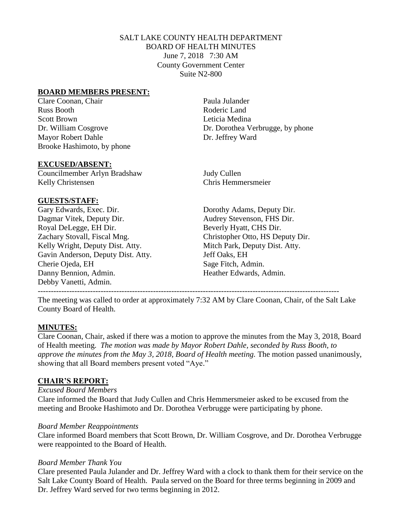## SALT LAKE COUNTY HEALTH DEPARTMENT BOARD OF HEALTH MINUTES June 7, 2018 7:30 AM County Government Center Suite N2-800

## **BOARD MEMBERS PRESENT:**

Clare Coonan, Chair **Paula Julander** Paula Julander Russ Booth Roderic Land Scott Brown Leticia Medina Mayor Robert Dahle Dr. Jeffrey Ward Brooke Hashimoto, by phone

Dr. William Cosgrove Dr. Dorothea Verbrugge, by phone

#### **EXCUSED/ABSENT:**

Councilmember Arlyn Bradshaw Judy Cullen Kelly Christensen Chris Hemmersmeier

## **GUESTS/STAFF:**

Gary Edwards, Exec. Dir. Dorothy Adams, Deputy Dir. Dagmar Vitek, Deputy Dir. Audrey Stevenson, FHS Dir. Royal DeLegge, EH Dir. Beverly Hyatt, CHS Dir. Zachary Stovall, Fiscal Mng. Christopher Otto, HS Deputy Dir. Kelly Wright, Deputy Dist. Atty. Mitch Park, Deputy Dist. Atty. Gavin Anderson, Deputy Dist. Atty. Jeff Oaks, EH Cherie Ojeda, EH Sage Fitch, Admin. Danny Bennion, Admin. **Heather Edwards, Admin.** Debby Vanetti, Admin.

The meeting was called to order at approximately 7:32 AM by Clare Coonan, Chair, of the Salt Lake County Board of Health.

-------------------------------------------------------------------------------------------------------------------

## **MINUTES:**

Clare Coonan, Chair, asked if there was a motion to approve the minutes from the May 3, 2018, Board of Health meeting. *The motion was made by Mayor Robert Dahle, seconded by Russ Booth, to approve the minutes from the May 3, 2018, Board of Health meeting. The motion passed unanimously,* showing that all Board members present voted "Aye."

## **CHAIR'S REPORT:**

*Excused Board Members*

Clare informed the Board that Judy Cullen and Chris Hemmersmeier asked to be excused from the meeting and Brooke Hashimoto and Dr. Dorothea Verbrugge were participating by phone.

#### *Board Member Reappointments*

Clare informed Board members that Scott Brown, Dr. William Cosgrove, and Dr. Dorothea Verbrugge were reappointed to the Board of Health.

## *Board Member Thank You*

Clare presented Paula Julander and Dr. Jeffrey Ward with a clock to thank them for their service on the Salt Lake County Board of Health. Paula served on the Board for three terms beginning in 2009 and Dr. Jeffrey Ward served for two terms beginning in 2012.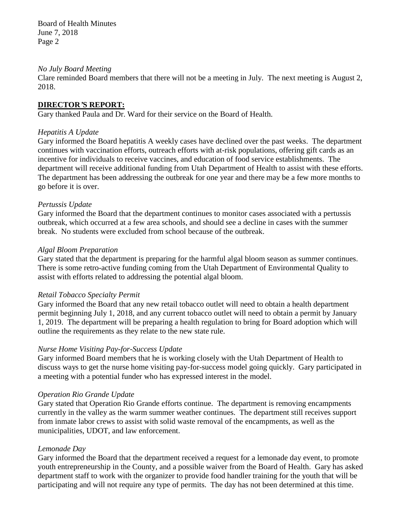Board of Health Minutes June 7, 2018 Page 2

#### *No July Board Meeting*

Clare reminded Board members that there will not be a meeting in July. The next meeting is August 2, 2018.

## **DIRECTOR***'***S REPORT:**

Gary thanked Paula and Dr. Ward for their service on the Board of Health.

## *Hepatitis A Update*

Gary informed the Board hepatitis A weekly cases have declined over the past weeks. The department continues with vaccination efforts, outreach efforts with at-risk populations, offering gift cards as an incentive for individuals to receive vaccines, and education of food service establishments. The department will receive additional funding from Utah Department of Health to assist with these efforts. The department has been addressing the outbreak for one year and there may be a few more months to go before it is over.

## *Pertussis Update*

Gary informed the Board that the department continues to monitor cases associated with a pertussis outbreak, which occurred at a few area schools, and should see a decline in cases with the summer break. No students were excluded from school because of the outbreak.

## *Algal Bloom Preparation*

Gary stated that the department is preparing for the harmful algal bloom season as summer continues. There is some retro-active funding coming from the Utah Department of Environmental Quality to assist with efforts related to addressing the potential algal bloom.

## *Retail Tobacco Specialty Permit*

Gary informed the Board that any new retail tobacco outlet will need to obtain a health department permit beginning July 1, 2018, and any current tobacco outlet will need to obtain a permit by January 1, 2019. The department will be preparing a health regulation to bring for Board adoption which will outline the requirements as they relate to the new state rule.

## *Nurse Home Visiting Pay-for-Success Update*

Gary informed Board members that he is working closely with the Utah Department of Health to discuss ways to get the nurse home visiting pay-for-success model going quickly. Gary participated in a meeting with a potential funder who has expressed interest in the model.

## *Operation Rio Grande Update*

Gary stated that Operation Rio Grande efforts continue. The department is removing encampments currently in the valley as the warm summer weather continues. The department still receives support from inmate labor crews to assist with solid waste removal of the encampments, as well as the municipalities, UDOT, and law enforcement.

## *Lemonade Day*

Gary informed the Board that the department received a request for a lemonade day event, to promote youth entrepreneurship in the County, and a possible waiver from the Board of Health. Gary has asked department staff to work with the organizer to provide food handler training for the youth that will be participating and will not require any type of permits. The day has not been determined at this time.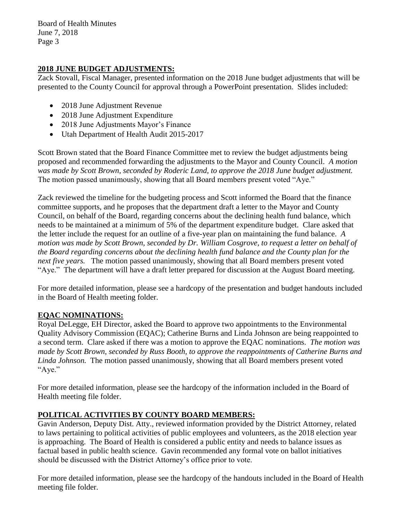Board of Health Minutes June 7, 2018 Page 3

## **2018 JUNE BUDGET ADJUSTMENTS:**

Zack Stovall, Fiscal Manager, presented information on the 2018 June budget adjustments that will be presented to the County Council for approval through a PowerPoint presentation. Slides included:

- 2018 June Adjustment Revenue
- 2018 June Adjustment Expenditure
- 2018 June Adjustments Mayor's Finance
- Utah Department of Health Audit 2015-2017

Scott Brown stated that the Board Finance Committee met to review the budget adjustments being proposed and recommended forwarding the adjustments to the Mayor and County Council. *A motion was made by Scott Brown, seconded by Roderic Land, to approve the 2018 June budget adjustment.* The motion passed unanimously, showing that all Board members present voted "Aye."

Zack reviewed the timeline for the budgeting process and Scott informed the Board that the finance committee supports, and he proposes that the department draft a letter to the Mayor and County Council, on behalf of the Board, regarding concerns about the declining health fund balance, which needs to be maintained at a minimum of 5% of the department expenditure budget. Clare asked that the letter include the request for an outline of a five-year plan on maintaining the fund balance. *A motion was made by Scott Brown, seconded by Dr. William Cosgrove, to request a letter on behalf of the Board regarding concerns about the declining health fund balance and the County plan for the next five years.* The motion passed unanimously, showing that all Board members present voted "Aye." The department will have a draft letter prepared for discussion at the August Board meeting.

For more detailed information, please see a hardcopy of the presentation and budget handouts included in the Board of Health meeting folder.

# **EQAC NOMINATIONS:**

Royal DeLegge, EH Director, asked the Board to approve two appointments to the Environmental Quality Advisory Commission (EQAC); Catherine Burns and Linda Johnson are being reappointed to a second term. Clare asked if there was a motion to approve the EQAC nominations. *The motion was made by Scott Brown, seconded by Russ Booth, to approve the reappointments of Catherine Burns and Linda Johnson.* The motion passed unanimously, showing that all Board members present voted "Aye."

For more detailed information, please see the hardcopy of the information included in the Board of Health meeting file folder.

# **POLITICAL ACTIVITIES BY COUNTY BOARD MEMBERS:**

Gavin Anderson, Deputy Dist. Atty., reviewed information provided by the District Attorney, related to laws pertaining to political activities of public employees and volunteers, as the 2018 election year is approaching. The Board of Health is considered a public entity and needs to balance issues as factual based in public health science. Gavin recommended any formal vote on ballot initiatives should be discussed with the District Attorney's office prior to vote.

For more detailed information, please see the hardcopy of the handouts included in the Board of Health meeting file folder.